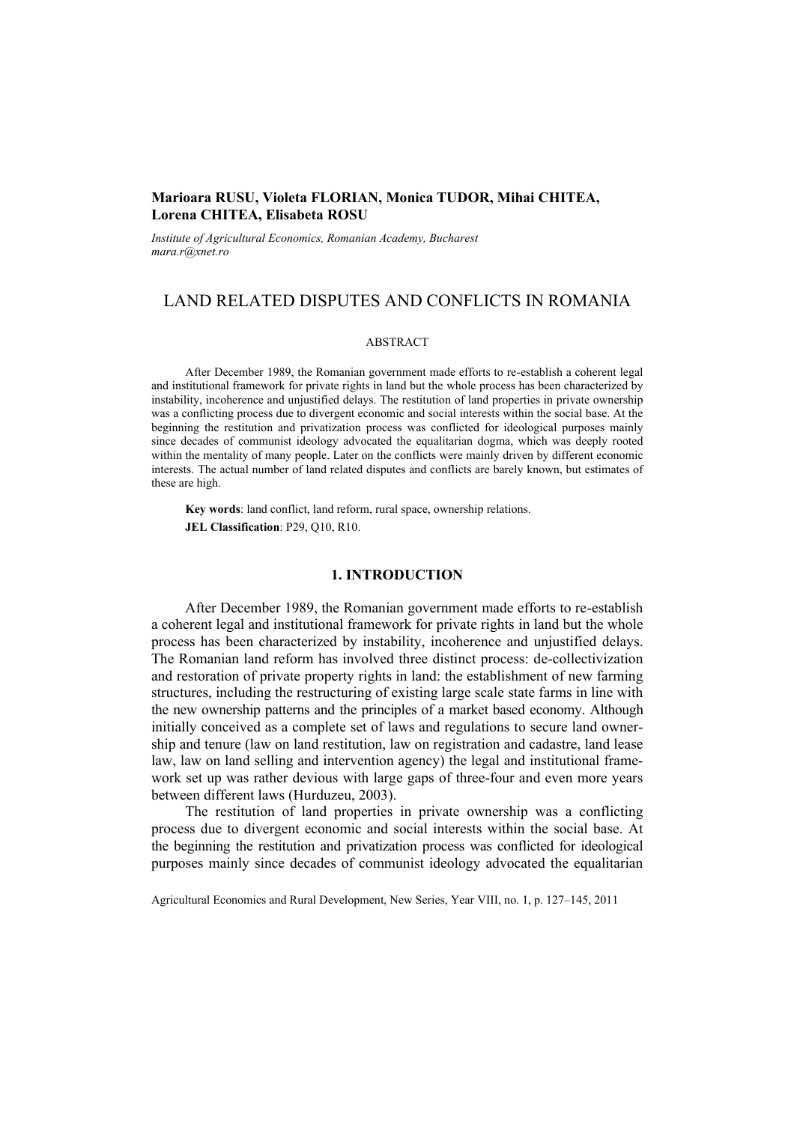# **Marioara RUSU, Violeta FLORIAN, Monica TUDOR, Mihai CHITEA, Lorena CHITEA, Elisabeta ROSU**

*Institute of Agricultural Economics, Romanian Academy, Bucharest mara.r@xnet.ro* 

# LAND RELATED DISPUTES AND CONFLICTS IN ROMANIA

### ABSTRACT

After December 1989, the Romanian government made efforts to re-establish a coherent legal and institutional framework for private rights in land but the whole process has been characterized by instability, incoherence and unjustified delays. The restitution of land properties in private ownership was a conflicting process due to divergent economic and social interests within the social base. At the beginning the restitution and privatization process was conflicted for ideological purposes mainly since decades of communist ideology advocated the equalitarian dogma, which was deeply rooted within the mentality of many people. Later on the conflicts were mainly driven by different economic interests. The actual number of land related disputes and conflicts are barely known, but estimates of these are high.

**Key words**: land conflict, land reform, rural space, ownership relations. **JEL Classification**: P29, Q10, R10.

# **1. INTRODUCTION**

After December 1989, the Romanian government made efforts to re-establish a coherent legal and institutional framework for private rights in land but the whole process has been characterized by instability, incoherence and unjustified delays. The Romanian land reform has involved three distinct process: de-collectivization and restoration of private property rights in land: the establishment of new farming structures, including the restructuring of existing large scale state farms in line with the new ownership patterns and the principles of a market based economy. Although initially conceived as a complete set of laws and regulations to secure land ownership and tenure (law on land restitution, law on registration and cadastre, land lease law, law on land selling and intervention agency) the legal and institutional framework set up was rather devious with large gaps of three-four and even more years between different laws (Hurduzeu, 2003).

The restitution of land properties in private ownership was a conflicting process due to divergent economic and social interests within the social base. At the beginning the restitution and privatization process was conflicted for ideological purposes mainly since decades of communist ideology advocated the equalitarian

Agricultural Economics and Rural Development, New Series, Year VIII, no. 1, p. 127–145, 2011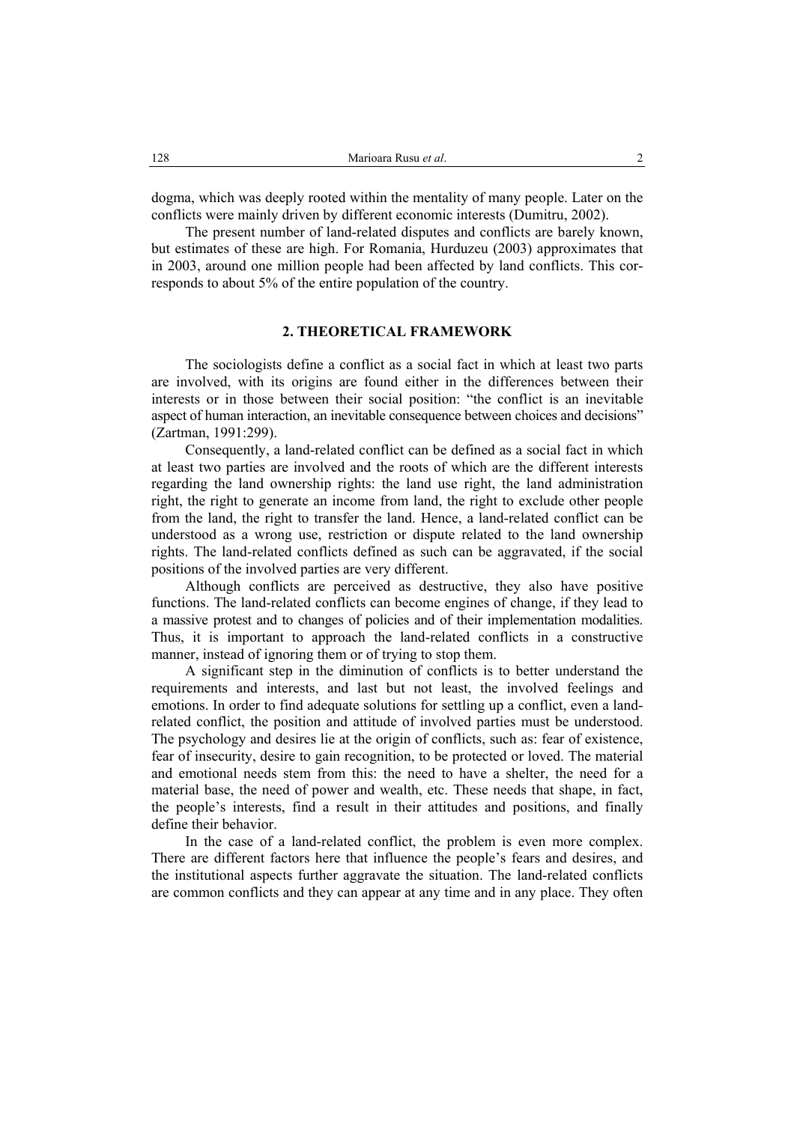dogma, which was deeply rooted within the mentality of many people. Later on the conflicts were mainly driven by different economic interests (Dumitru, 2002).

The present number of land-related disputes and conflicts are barely known, but estimates of these are high. For Romania, Hurduzeu (2003) approximates that in 2003, around one million people had been affected by land conflicts. This corresponds to about 5% of the entire population of the country.

# **2. THEORETICAL FRAMEWORK**

The sociologists define a conflict as a social fact in which at least two parts are involved, with its origins are found either in the differences between their interests or in those between their social position: "the conflict is an inevitable aspect of human interaction, an inevitable consequence between choices and decisions" (Zartman, 1991:299).

Consequently, a land-related conflict can be defined as a social fact in which at least two parties are involved and the roots of which are the different interests regarding the land ownership rights: the land use right, the land administration right, the right to generate an income from land, the right to exclude other people from the land, the right to transfer the land. Hence, a land-related conflict can be understood as a wrong use, restriction or dispute related to the land ownership rights. The land-related conflicts defined as such can be aggravated, if the social positions of the involved parties are very different.

Although conflicts are perceived as destructive, they also have positive functions. The land-related conflicts can become engines of change, if they lead to a massive protest and to changes of policies and of their implementation modalities. Thus, it is important to approach the land-related conflicts in a constructive manner, instead of ignoring them or of trying to stop them.

A significant step in the diminution of conflicts is to better understand the requirements and interests, and last but not least, the involved feelings and emotions. In order to find adequate solutions for settling up a conflict, even a landrelated conflict, the position and attitude of involved parties must be understood. The psychology and desires lie at the origin of conflicts, such as: fear of existence, fear of insecurity, desire to gain recognition, to be protected or loved. The material and emotional needs stem from this: the need to have a shelter, the need for a material base, the need of power and wealth, etc. These needs that shape, in fact, the people's interests, find a result in their attitudes and positions, and finally define their behavior.

In the case of a land-related conflict, the problem is even more complex. There are different factors here that influence the people's fears and desires, and the institutional aspects further aggravate the situation. The land-related conflicts are common conflicts and they can appear at any time and in any place. They often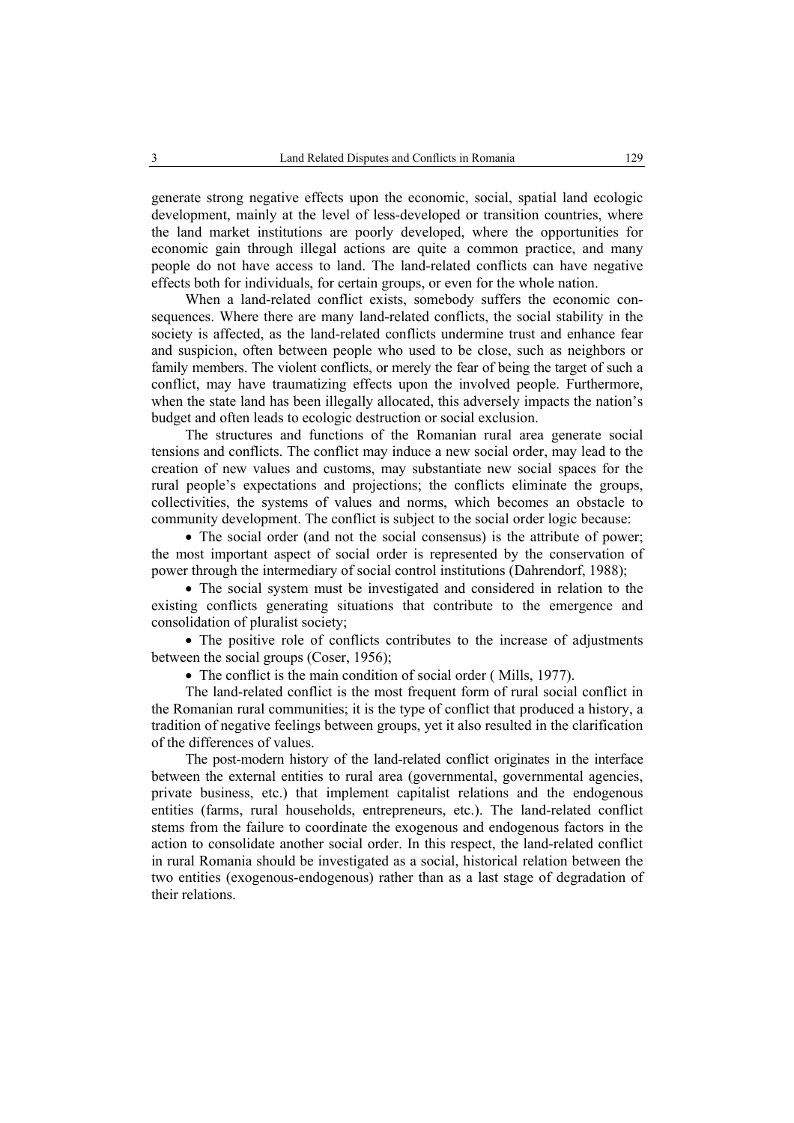generate strong negative effects upon the economic, social, spatial land ecologic development, mainly at the level of less-developed or transition countries, where the land market institutions are poorly developed, where the opportunities for economic gain through illegal actions are quite a common practice, and many people do not have access to land. The land-related conflicts can have negative effects both for individuals, for certain groups, or even for the whole nation.

When a land-related conflict exists, somebody suffers the economic consequences. Where there are many land-related conflicts, the social stability in the society is affected, as the land-related conflicts undermine trust and enhance fear and suspicion, often between people who used to be close, such as neighbors or family members. The violent conflicts, or merely the fear of being the target of such a conflict, may have traumatizing effects upon the involved people. Furthermore, when the state land has been illegally allocated, this adversely impacts the nation's budget and often leads to ecologic destruction or social exclusion.

The structures and functions of the Romanian rural area generate social tensions and conflicts. The conflict may induce a new social order, may lead to the creation of new values and customs, may substantiate new social spaces for the rural people's expectations and projections; the conflicts eliminate the groups, collectivities, the systems of values and norms, which becomes an obstacle to community development. The conflict is subject to the social order logic because:

• The social order (and not the social consensus) is the attribute of power; the most important aspect of social order is represented by the conservation of power through the intermediary of social control institutions (Dahrendorf, 1988);

• The social system must be investigated and considered in relation to the existing conflicts generating situations that contribute to the emergence and consolidation of pluralist society;

• The positive role of conflicts contributes to the increase of adjustments between the social groups (Coser, 1956);

• The conflict is the main condition of social order (Mills, 1977).

The land-related conflict is the most frequent form of rural social conflict in the Romanian rural communities; it is the type of conflict that produced a history, a tradition of negative feelings between groups, yet it also resulted in the clarification of the differences of values.

The post-modern history of the land-related conflict originates in the interface between the external entities to rural area (governmental, governmental agencies, private business, etc.) that implement capitalist relations and the endogenous entities (farms, rural households, entrepreneurs, etc.). The land-related conflict stems from the failure to coordinate the exogenous and endogenous factors in the action to consolidate another social order. In this respect, the land-related conflict in rural Romania should be investigated as a social, historical relation between the two entities (exogenous-endogenous) rather than as a last stage of degradation of their relations.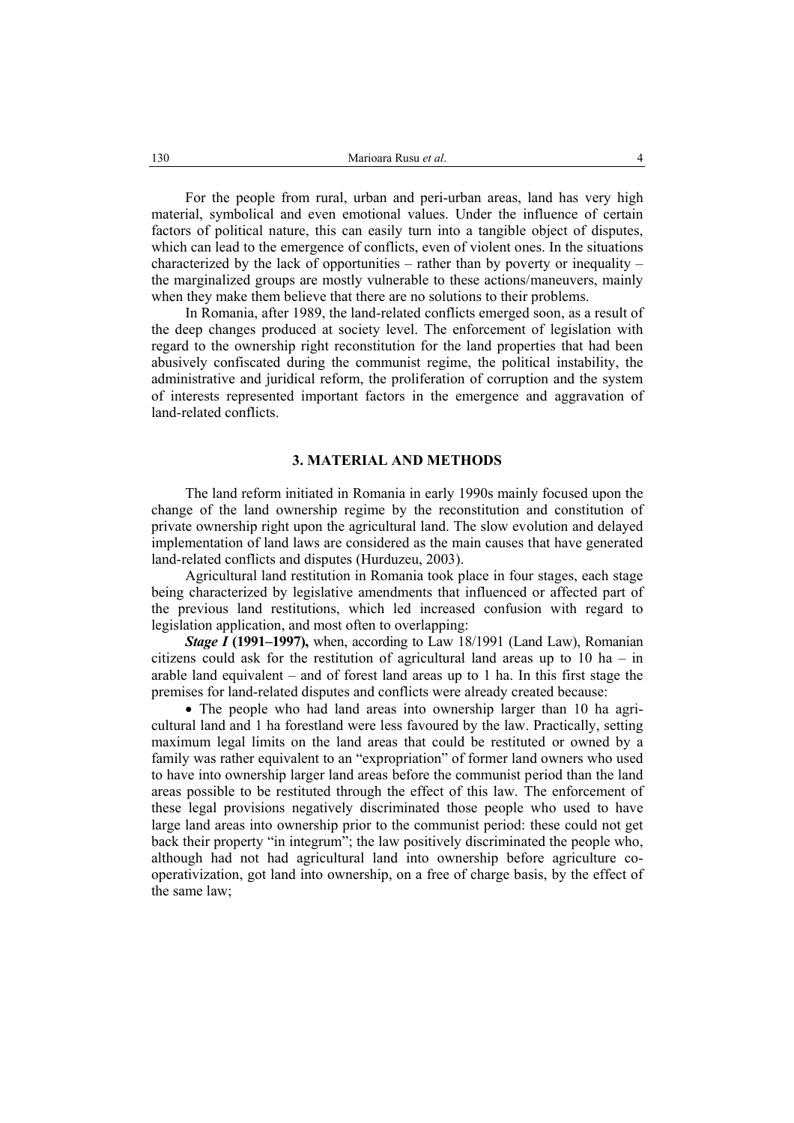For the people from rural, urban and peri-urban areas, land has very high material, symbolical and even emotional values. Under the influence of certain factors of political nature, this can easily turn into a tangible object of disputes, which can lead to the emergence of conflicts, even of violent ones. In the situations characterized by the lack of opportunities – rather than by poverty or inequality – the marginalized groups are mostly vulnerable to these actions/maneuvers, mainly when they make them believe that there are no solutions to their problems.

In Romania, after 1989, the land-related conflicts emerged soon, as a result of the deep changes produced at society level. The enforcement of legislation with regard to the ownership right reconstitution for the land properties that had been abusively confiscated during the communist regime, the political instability, the administrative and juridical reform, the proliferation of corruption and the system of interests represented important factors in the emergence and aggravation of land-related conflicts.

# **3. MATERIAL AND METHODS**

The land reform initiated in Romania in early 1990s mainly focused upon the change of the land ownership regime by the reconstitution and constitution of private ownership right upon the agricultural land. The slow evolution and delayed implementation of land laws are considered as the main causes that have generated land-related conflicts and disputes (Hurduzeu, 2003).

Agricultural land restitution in Romania took place in four stages, each stage being characterized by legislative amendments that influenced or affected part of the previous land restitutions, which led increased confusion with regard to legislation application, and most often to overlapping:

*Stage I* (1991–1997), when, according to Law 18/1991 (Land Law), Romanian citizens could ask for the restitution of agricultural land areas up to  $10$  ha – in arable land equivalent – and of forest land areas up to 1 ha. In this first stage the premises for land-related disputes and conflicts were already created because:

• The people who had land areas into ownership larger than 10 ha agricultural land and 1 ha forestland were less favoured by the law. Practically, setting maximum legal limits on the land areas that could be restituted or owned by a family was rather equivalent to an "expropriation" of former land owners who used to have into ownership larger land areas before the communist period than the land areas possible to be restituted through the effect of this law. The enforcement of these legal provisions negatively discriminated those people who used to have large land areas into ownership prior to the communist period: these could not get back their property "in integrum"; the law positively discriminated the people who, although had not had agricultural land into ownership before agriculture cooperativization, got land into ownership, on a free of charge basis, by the effect of the same law;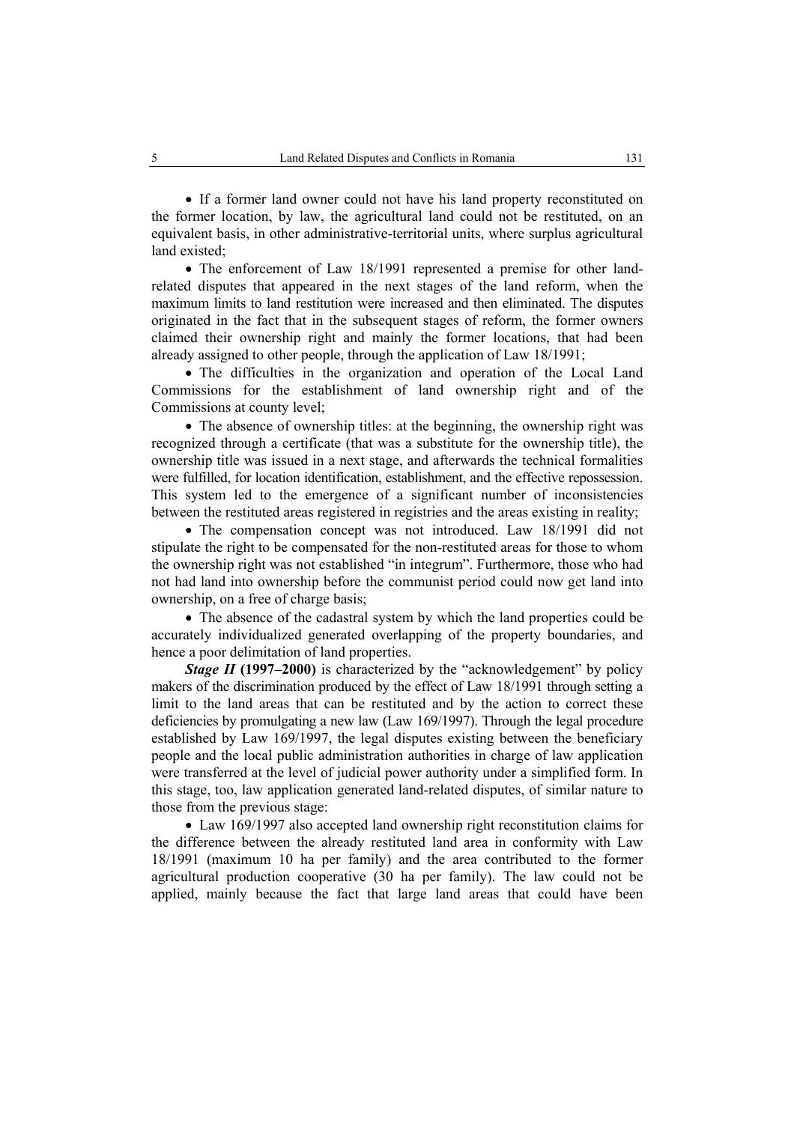• If a former land owner could not have his land property reconstituted on the former location, by law, the agricultural land could not be restituted, on an equivalent basis, in other administrative-territorial units, where surplus agricultural land existed;

• The enforcement of Law 18/1991 represented a premise for other landrelated disputes that appeared in the next stages of the land reform, when the maximum limits to land restitution were increased and then eliminated. The disputes originated in the fact that in the subsequent stages of reform, the former owners claimed their ownership right and mainly the former locations, that had been already assigned to other people, through the application of Law 18/1991;

• The difficulties in the organization and operation of the Local Land Commissions for the establishment of land ownership right and of the Commissions at county level;

• The absence of ownership titles: at the beginning, the ownership right was recognized through a certificate (that was a substitute for the ownership title), the ownership title was issued in a next stage, and afterwards the technical formalities were fulfilled, for location identification, establishment, and the effective repossession. This system led to the emergence of a significant number of inconsistencies between the restituted areas registered in registries and the areas existing in reality;

• The compensation concept was not introduced. Law 18/1991 did not stipulate the right to be compensated for the non-restituted areas for those to whom the ownership right was not established "in integrum". Furthermore, those who had not had land into ownership before the communist period could now get land into ownership, on a free of charge basis;

• The absence of the cadastral system by which the land properties could be accurately individualized generated overlapping of the property boundaries, and hence a poor delimitation of land properties.

*Stage II* (1997–2000) is characterized by the "acknowledgement" by policy makers of the discrimination produced by the effect of Law 18/1991 through setting a limit to the land areas that can be restituted and by the action to correct these deficiencies by promulgating a new law (Law 169/1997). Through the legal procedure established by Law 169/1997, the legal disputes existing between the beneficiary people and the local public administration authorities in charge of law application were transferred at the level of judicial power authority under a simplified form. In this stage, too, law application generated land-related disputes, of similar nature to those from the previous stage:

• Law 169/1997 also accepted land ownership right reconstitution claims for the difference between the already restituted land area in conformity with Law 18/1991 (maximum 10 ha per family) and the area contributed to the former agricultural production cooperative (30 ha per family). The law could not be applied, mainly because the fact that large land areas that could have been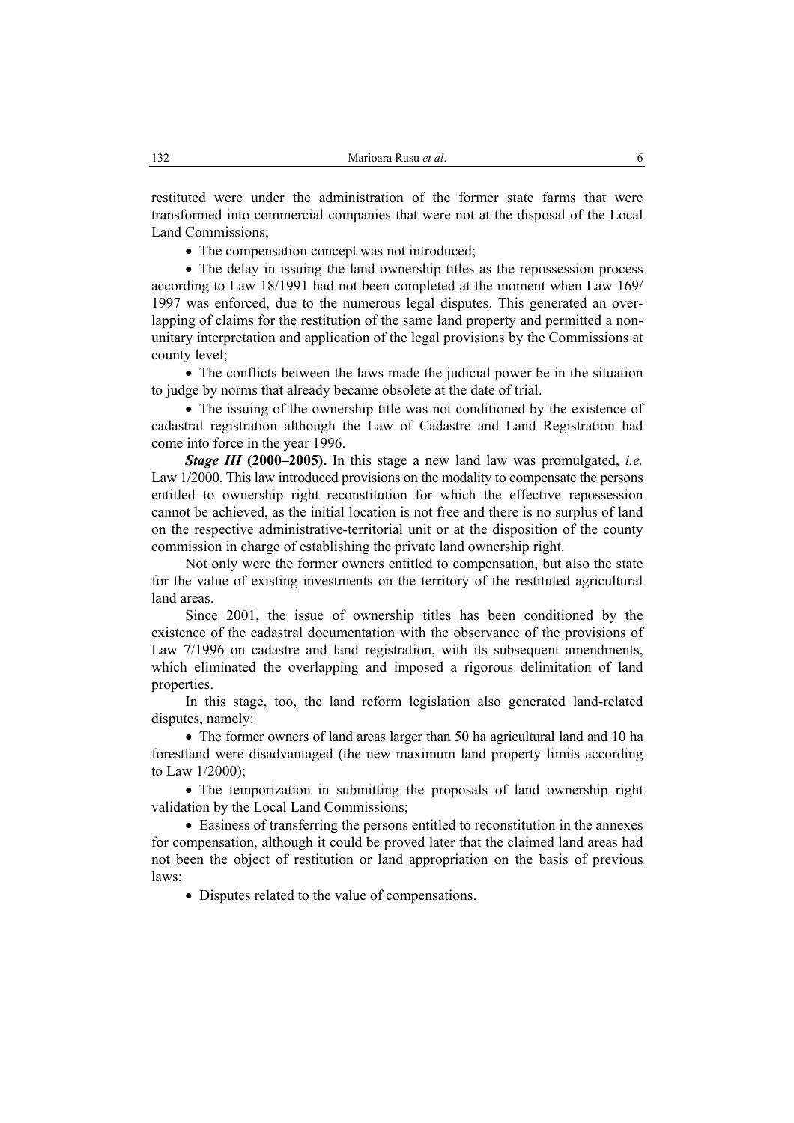restituted were under the administration of the former state farms that were transformed into commercial companies that were not at the disposal of the Local Land Commissions;

• The compensation concept was not introduced;

• The delay in issuing the land ownership titles as the repossession process according to Law 18/1991 had not been completed at the moment when Law 169/ 1997 was enforced, due to the numerous legal disputes. This generated an overlapping of claims for the restitution of the same land property and permitted a nonunitary interpretation and application of the legal provisions by the Commissions at county level;

• The conflicts between the laws made the judicial power be in the situation to judge by norms that already became obsolete at the date of trial.

• The issuing of the ownership title was not conditioned by the existence of cadastral registration although the Law of Cadastre and Land Registration had come into force in the year 1996.

*Stage III* **(2000–2005).** In this stage a new land law was promulgated, *i.e.* Law 1/2000. This law introduced provisions on the modality to compensate the persons entitled to ownership right reconstitution for which the effective repossession cannot be achieved, as the initial location is not free and there is no surplus of land on the respective administrative-territorial unit or at the disposition of the county commission in charge of establishing the private land ownership right.

Not only were the former owners entitled to compensation, but also the state for the value of existing investments on the territory of the restituted agricultural land areas.

Since 2001, the issue of ownership titles has been conditioned by the existence of the cadastral documentation with the observance of the provisions of Law 7/1996 on cadastre and land registration, with its subsequent amendments, which eliminated the overlapping and imposed a rigorous delimitation of land properties.

In this stage, too, the land reform legislation also generated land-related disputes, namely:

• The former owners of land areas larger than 50 ha agricultural land and 10 ha forestland were disadvantaged (the new maximum land property limits according to Law 1/2000);

• The temporization in submitting the proposals of land ownership right validation by the Local Land Commissions;

• Easiness of transferring the persons entitled to reconstitution in the annexes for compensation, although it could be proved later that the claimed land areas had not been the object of restitution or land appropriation on the basis of previous laws;

• Disputes related to the value of compensations.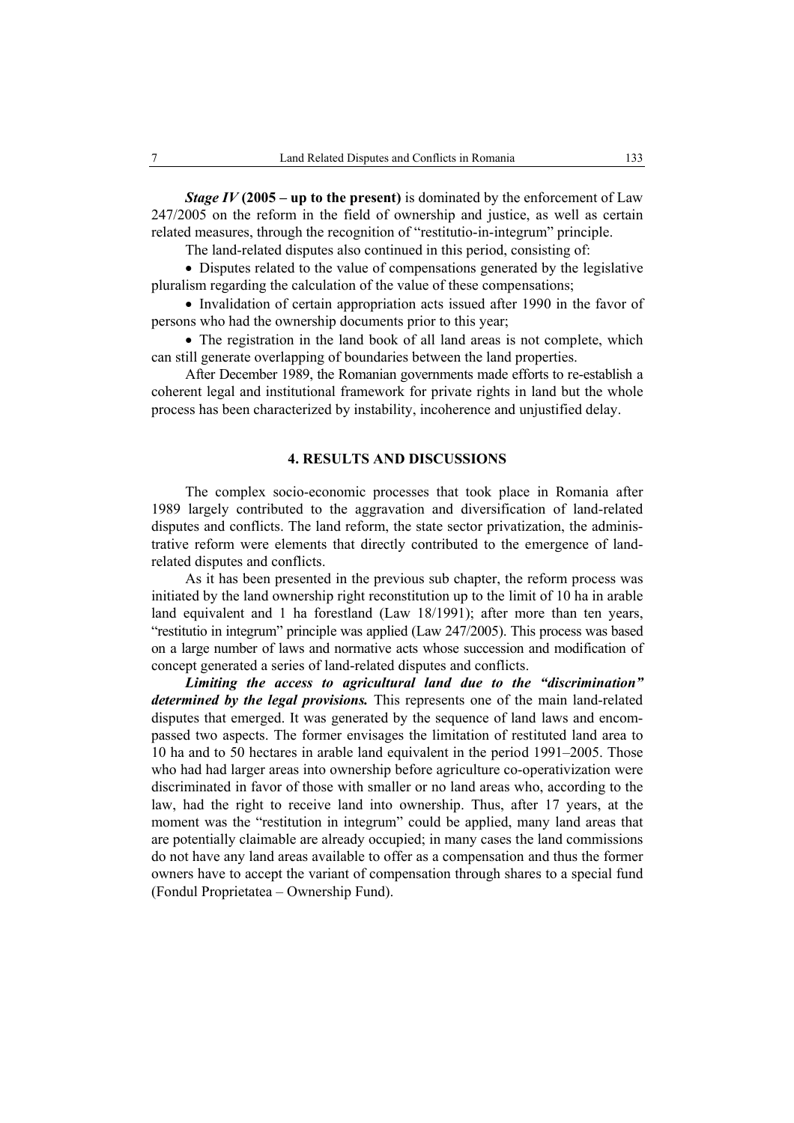*Stage IV* (2005 – up to the present) is dominated by the enforcement of Law 247/2005 on the reform in the field of ownership and justice, as well as certain related measures, through the recognition of "restitutio-in-integrum" principle.

The land-related disputes also continued in this period, consisting of:

• Disputes related to the value of compensations generated by the legislative pluralism regarding the calculation of the value of these compensations;

• Invalidation of certain appropriation acts issued after 1990 in the favor of persons who had the ownership documents prior to this year;

• The registration in the land book of all land areas is not complete, which can still generate overlapping of boundaries between the land properties.

After December 1989, the Romanian governments made efforts to re-establish a coherent legal and institutional framework for private rights in land but the whole process has been characterized by instability, incoherence and unjustified delay.

# **4. RESULTS AND DISCUSSIONS**

The complex socio-economic processes that took place in Romania after 1989 largely contributed to the aggravation and diversification of land-related disputes and conflicts. The land reform, the state sector privatization, the administrative reform were elements that directly contributed to the emergence of landrelated disputes and conflicts.

As it has been presented in the previous sub chapter, the reform process was initiated by the land ownership right reconstitution up to the limit of 10 ha in arable land equivalent and 1 ha forestland (Law 18/1991); after more than ten years, "restitutio in integrum" principle was applied (Law 247/2005). This process was based on a large number of laws and normative acts whose succession and modification of concept generated a series of land-related disputes and conflicts.

*Limiting the access to agricultural land due to the "discrimination" determined by the legal provisions.* This represents one of the main land-related disputes that emerged. It was generated by the sequence of land laws and encompassed two aspects. The former envisages the limitation of restituted land area to 10 ha and to 50 hectares in arable land equivalent in the period 1991–2005. Those who had had larger areas into ownership before agriculture co-operativization were discriminated in favor of those with smaller or no land areas who, according to the law, had the right to receive land into ownership. Thus, after 17 years, at the moment was the "restitution in integrum" could be applied, many land areas that are potentially claimable are already occupied; in many cases the land commissions do not have any land areas available to offer as a compensation and thus the former owners have to accept the variant of compensation through shares to a special fund (Fondul Proprietatea – Ownership Fund).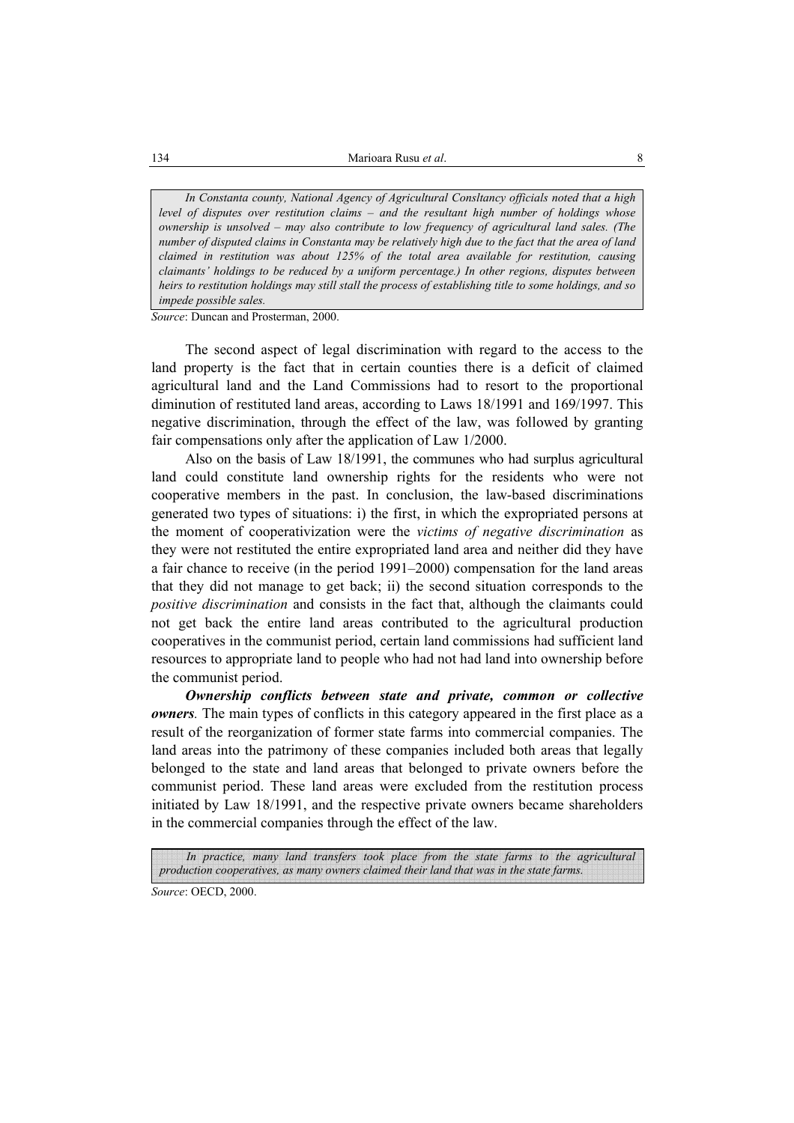*In Constanta county, National Agency of Agricultural Consltancy officials noted that a high level of disputes over restitution claims – and the resultant high number of holdings whose ownership is unsolved – may also contribute to low frequency of agricultural land sales. (The number of disputed claims in Constanta may be relatively high due to the fact that the area of land claimed in restitution was about 125% of the total area available for restitution, causing claimants' holdings to be reduced by a uniform percentage.) In other regions, disputes between heirs to restitution holdings may still stall the process of establishing title to some holdings, and so impede possible sales.* 

*Source*: Duncan and Prosterman, 2000.

The second aspect of legal discrimination with regard to the access to the land property is the fact that in certain counties there is a deficit of claimed agricultural land and the Land Commissions had to resort to the proportional diminution of restituted land areas, according to Laws 18/1991 and 169/1997. This negative discrimination, through the effect of the law, was followed by granting fair compensations only after the application of Law 1/2000.

Also on the basis of Law 18/1991, the communes who had surplus agricultural land could constitute land ownership rights for the residents who were not cooperative members in the past. In conclusion, the law-based discriminations generated two types of situations: i) the first, in which the expropriated persons at the moment of cooperativization were the *victims of negative discrimination* as they were not restituted the entire expropriated land area and neither did they have a fair chance to receive (in the period 1991–2000) compensation for the land areas that they did not manage to get back; ii) the second situation corresponds to the *positive discrimination* and consists in the fact that, although the claimants could not get back the entire land areas contributed to the agricultural production cooperatives in the communist period, certain land commissions had sufficient land resources to appropriate land to people who had not had land into ownership before the communist period.

*Ownership conflicts between state and private, common or collective owners.* The main types of conflicts in this category appeared in the first place as a result of the reorganization of former state farms into commercial companies. The land areas into the patrimony of these companies included both areas that legally belonged to the state and land areas that belonged to private owners before the communist period. These land areas were excluded from the restitution process initiated by Law 18/1991, and the respective private owners became shareholders in the commercial companies through the effect of the law.

In practice, many land transfers took place from the state farms to the agricultural *production cooperatives, as many owners claimed their land that was in the state farms.*

*Source*: OECD, 2000.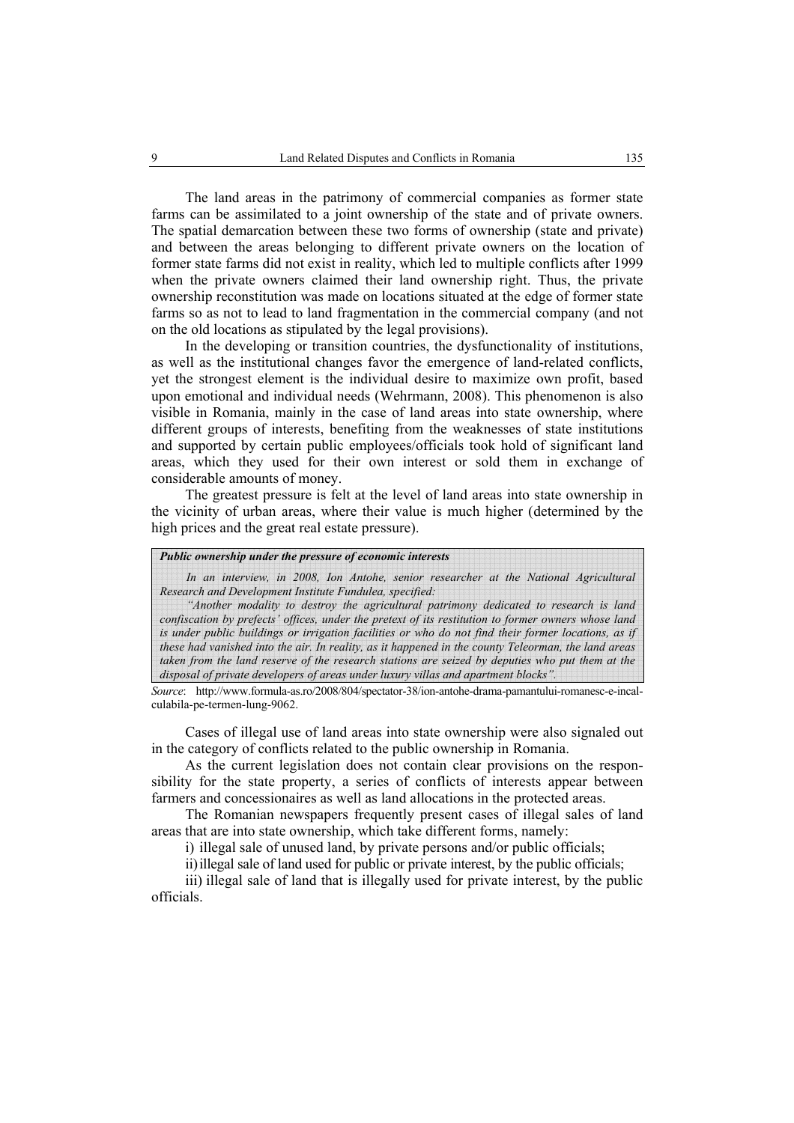The land areas in the patrimony of commercial companies as former state farms can be assimilated to a joint ownership of the state and of private owners. The spatial demarcation between these two forms of ownership (state and private) and between the areas belonging to different private owners on the location of former state farms did not exist in reality, which led to multiple conflicts after 1999 when the private owners claimed their land ownership right. Thus, the private ownership reconstitution was made on locations situated at the edge of former state farms so as not to lead to land fragmentation in the commercial company (and not on the old locations as stipulated by the legal provisions).

In the developing or transition countries, the dysfunctionality of institutions, as well as the institutional changes favor the emergence of land-related conflicts, yet the strongest element is the individual desire to maximize own profit, based upon emotional and individual needs (Wehrmann, 2008). This phenomenon is also visible in Romania, mainly in the case of land areas into state ownership, where different groups of interests, benefiting from the weaknesses of state institutions and supported by certain public employees/officials took hold of significant land areas, which they used for their own interest or sold them in exchange of considerable amounts of money.

The greatest pressure is felt at the level of land areas into state ownership in the vicinity of urban areas, where their value is much higher (determined by the high prices and the great real estate pressure).

#### *Public ownership under the pressure of economic interests*

*In an interview, in 2008, Ion Antohe, senior researcher at the National Agricultural Research and Development Institute Fundulea, specified:* 

*"Another modality to destroy the agricultural patrimony dedicated to research is land confiscation by prefects' offices, under the pretext of its restitution to former owners whose land is under public buildings or irrigation facilities or who do not find their former locations, as if these had vanished into the air. In reality, as it happened in the county Teleorman, the land areas taken from the land reserve of the research stations are seized by deputies who put them at the disposal of private developers of areas under luxury villas and apartment blocks".* 

*Source*: http://www.formula-as.ro/2008/804/spectator-38/ion-antohe-drama-pamantului-romanesc-e-incalculabila-pe-termen-lung-9062.

Cases of illegal use of land areas into state ownership were also signaled out in the category of conflicts related to the public ownership in Romania.

As the current legislation does not contain clear provisions on the responsibility for the state property, a series of conflicts of interests appear between farmers and concessionaires as well as land allocations in the protected areas.

The Romanian newspapers frequently present cases of illegal sales of land areas that are into state ownership, which take different forms, namely:

i) illegal sale of unused land, by private persons and/or public officials;

ii)illegal sale of land used for public or private interest, by the public officials;

iii) illegal sale of land that is illegally used for private interest, by the public officials.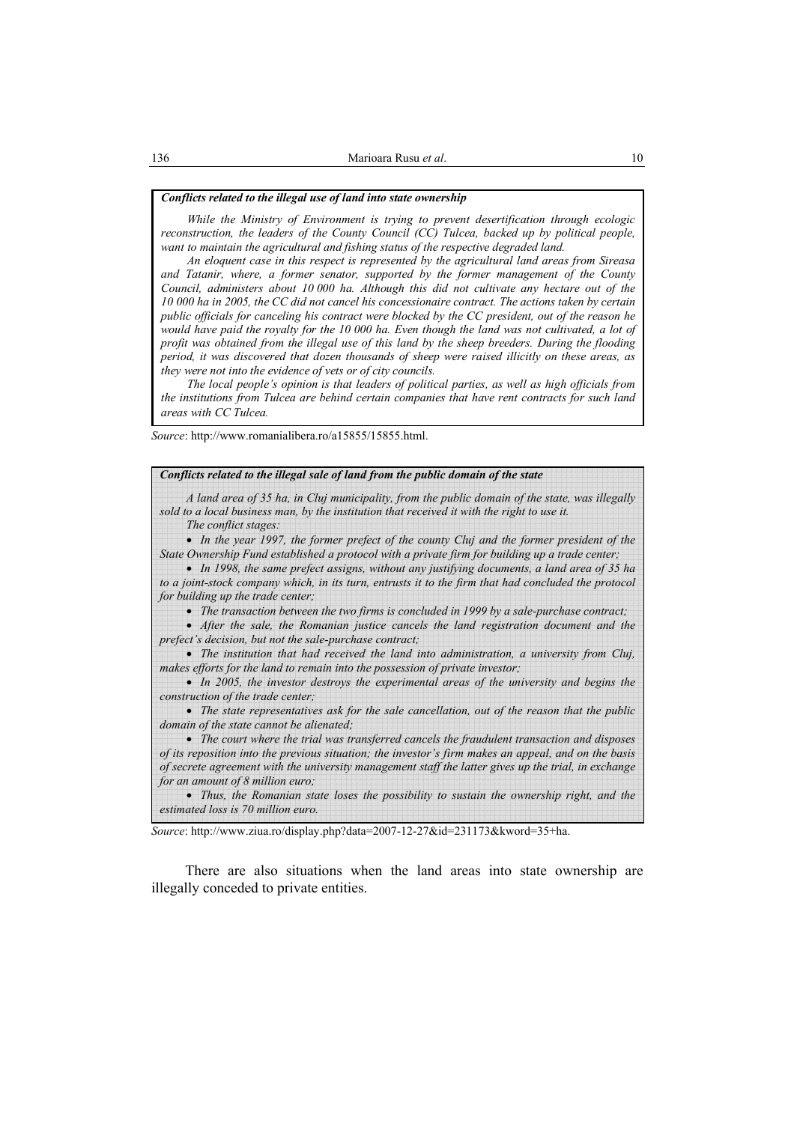### *Conflicts related to the illegal use of land into state ownership*

*While the Ministry of Environment is trying to prevent desertification through ecologic reconstruction, the leaders of the County Council (CC) Tulcea, backed up by political people, want to maintain the agricultural and fishing status of the respective degraded land.* 

*An eloquent case in this respect is represented by the agricultural land areas from Sireasa and Tatanir, where, a former senator, supported by the former management of the County Council, administers about 10 000 ha. Although this did not cultivate any hectare out of the 10 000 ha in 2005, the CC did not cancel his concessionaire contract. The actions taken by certain public officials for canceling his contract were blocked by the CC president, out of the reason he would have paid the royalty for the 10 000 ha. Even though the land was not cultivated, a lot of profit was obtained from the illegal use of this land by the sheep breeders. During the flooding period, it was discovered that dozen thousands of sheep were raised illicitly on these areas, as they were not into the evidence of vets or of city councils.* 

*The local people's opinion is that leaders of political parties, as well as high officials from the institutions from Tulcea are behind certain companies that have rent contracts for such land areas with CC Tulcea.*

*Source*: http://www.romanialibera.ro/a15855/15855.html.

| Conflicts related to the illegal sale of land from the public domain of the state                                                                                                                                                                                                                           |
|-------------------------------------------------------------------------------------------------------------------------------------------------------------------------------------------------------------------------------------------------------------------------------------------------------------|
| A land area of 35 ha, in Cluj municipality, from the public domain of the state, was illegally<br>sold to a local business man, by the institution that received it with the right to use it.<br>The conflict stages:                                                                                       |
| • In the year 1997, the former prefect of the county Cluj and the former president of the                                                                                                                                                                                                                   |
| State Ownership Fund established a protocol with a private firm for building up a trade center;<br>• In 1998, the same prefect assigns, without any justifying documents, a land area of 35 ha<br>to a joint-stock company which, in its turn, entrusts it to the firm that had concluded the protocol      |
| for building up the trade center;                                                                                                                                                                                                                                                                           |
| • The transaction between the two firms is concluded in 1999 by a sale-purchase contract;<br>• After the sale, the Romanian justice cancels the land registration document and the<br>prefect's decision, but not the sale-purchase contract;                                                               |
| • The institution that had received the land into administration, a university from Cluj,<br>makes efforts for the land to remain into the possession of private investor;                                                                                                                                  |
| • In 2005, the investor destroys the experimental areas of the university and begins the<br>construction of the trade center;                                                                                                                                                                               |
| • The state representatives ask for the sale cancellation, out of the reason that the public<br>domain of the state cannot be alienated;                                                                                                                                                                    |
| • The court where the trial was transferred cancels the fraudulent transaction and disposes<br>of its reposition into the previous situation; the investor's firm makes an appeal, and on the basis<br>of secrete agreement with the university management staff the latter gives up the trial, in exchange |
| for an amount of 8 million euro;                                                                                                                                                                                                                                                                            |

• *Thus, the Romanian state loses the possibility to sustain the ownership right, and the estimated loss is 70 million euro.* 

*Source*: http://www.ziua.ro/display.php?data=2007-12-27&id=231173&kword=35+ha.

There are also situations when the land areas into state ownership are illegally conceded to private entities.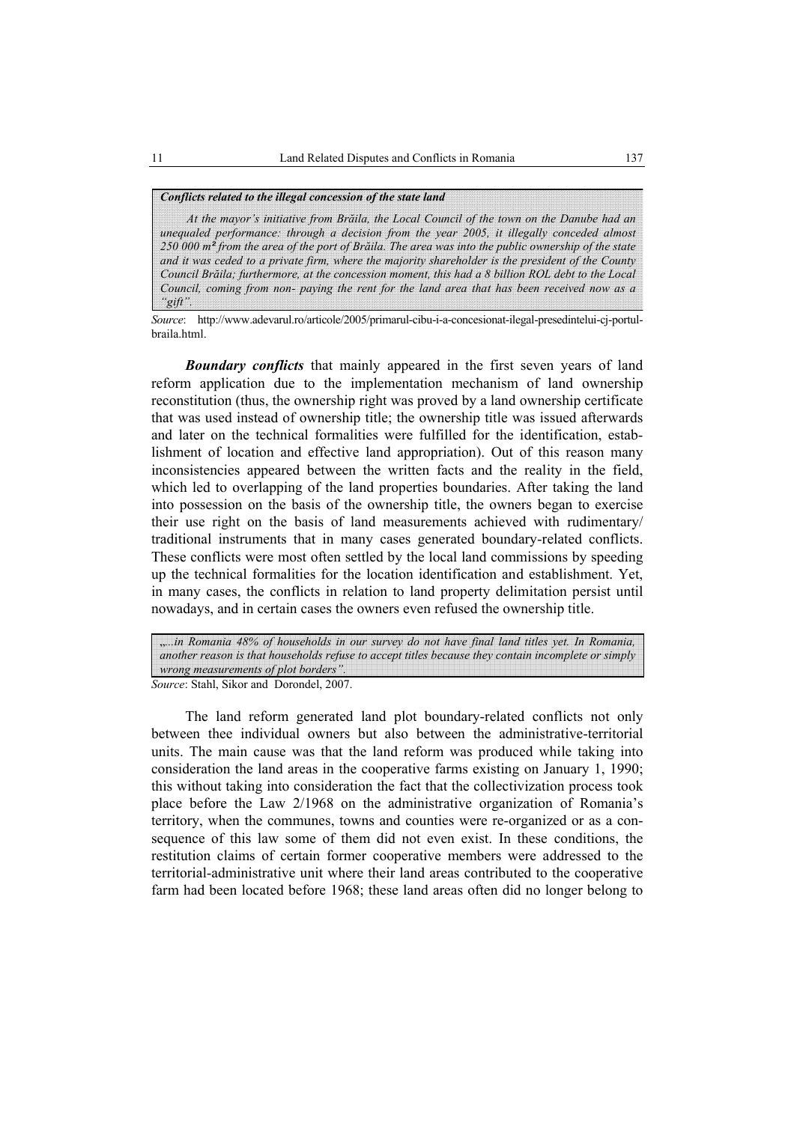### *Conflicts related to the illegal concession of the state land*

*At the mayor's initiative from Brăila, the Local Council of the town on the Danube had an unequaled performance: through a decision from the year 2005, it illegally conceded almost 250 000 m² from the area of the port of Brăila. The area was into the public ownership of the state and it was ceded to a private firm, where the majority shareholder is the president of the County Council Brăila; furthermore, at the concession moment, this had a 8 billion ROL debt to the Local Council, coming from non- paying the rent for the land area that has been received now as a "gift".* 

*Source*: http://www.adevarul.ro/articole/2005/primarul-cibu-i-a-concesionat-ilegal-presedintelui-cj-portulbraila.html.

*Boundary conflicts* that mainly appeared in the first seven years of land reform application due to the implementation mechanism of land ownership reconstitution (thus, the ownership right was proved by a land ownership certificate that was used instead of ownership title; the ownership title was issued afterwards and later on the technical formalities were fulfilled for the identification, establishment of location and effective land appropriation). Out of this reason many inconsistencies appeared between the written facts and the reality in the field, which led to overlapping of the land properties boundaries. After taking the land into possession on the basis of the ownership title, the owners began to exercise their use right on the basis of land measurements achieved with rudimentary/ traditional instruments that in many cases generated boundary-related conflicts. These conflicts were most often settled by the local land commissions by speeding up the technical formalities for the location identification and establishment. Yet, in many cases, the conflicts in relation to land property delimitation persist until nowadays, and in certain cases the owners even refused the ownership title.

*Source*: Stahl, Sikor and Dorondel, 2007. "*...in Romania 48% of households in our survey do not have final land titles yet. In Romania, another reason is that households refuse to accept titles because they contain incomplete or simply wrong measurements of plot borders".* 

The land reform generated land plot boundary-related conflicts not only between thee individual owners but also between the administrative-territorial units. The main cause was that the land reform was produced while taking into consideration the land areas in the cooperative farms existing on January 1, 1990; this without taking into consideration the fact that the collectivization process took place before the Law 2/1968 on the administrative organization of Romania's territory, when the communes, towns and counties were re-organized or as a consequence of this law some of them did not even exist. In these conditions, the restitution claims of certain former cooperative members were addressed to the territorial-administrative unit where their land areas contributed to the cooperative farm had been located before 1968; these land areas often did no longer belong to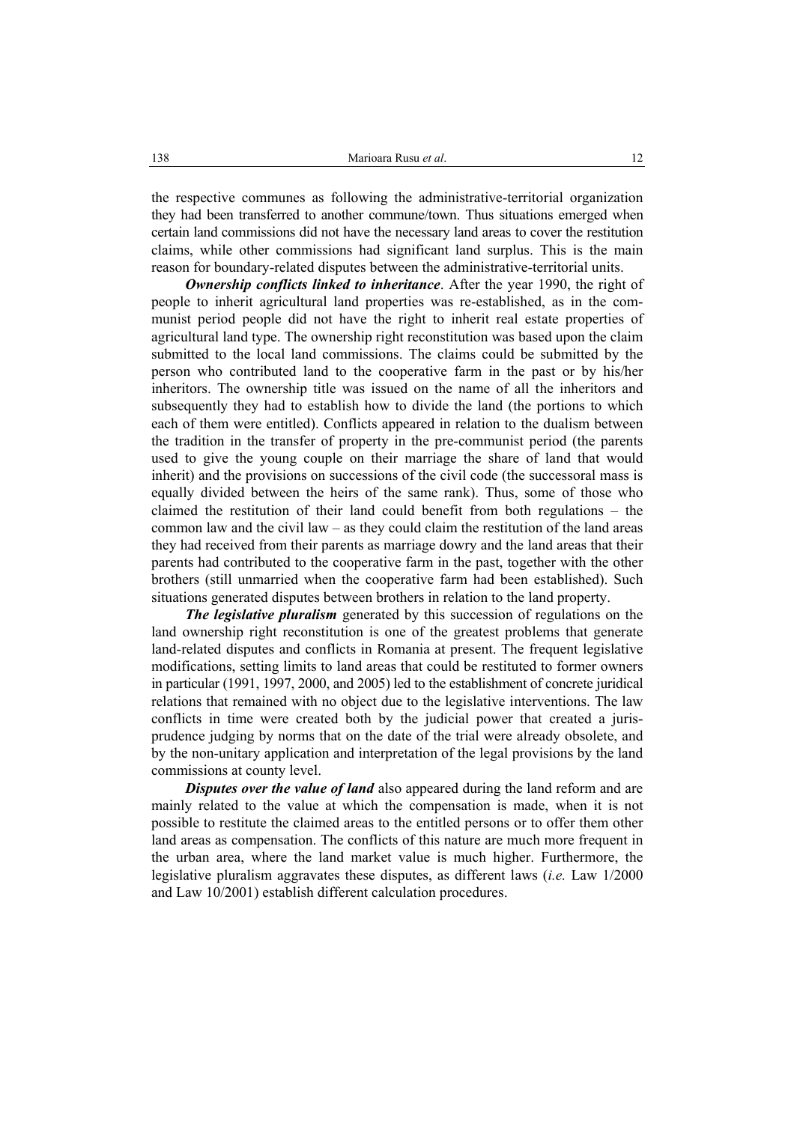the respective communes as following the administrative-territorial organization they had been transferred to another commune/town. Thus situations emerged when certain land commissions did not have the necessary land areas to cover the restitution claims, while other commissions had significant land surplus. This is the main reason for boundary-related disputes between the administrative-territorial units.

*Ownership conflicts linked to inheritance*. After the year 1990, the right of people to inherit agricultural land properties was re-established, as in the communist period people did not have the right to inherit real estate properties of agricultural land type. The ownership right reconstitution was based upon the claim submitted to the local land commissions. The claims could be submitted by the person who contributed land to the cooperative farm in the past or by his/her inheritors. The ownership title was issued on the name of all the inheritors and subsequently they had to establish how to divide the land (the portions to which each of them were entitled). Conflicts appeared in relation to the dualism between the tradition in the transfer of property in the pre-communist period (the parents used to give the young couple on their marriage the share of land that would inherit) and the provisions on successions of the civil code (the successoral mass is equally divided between the heirs of the same rank). Thus, some of those who claimed the restitution of their land could benefit from both regulations – the common law and the civil law – as they could claim the restitution of the land areas they had received from their parents as marriage dowry and the land areas that their parents had contributed to the cooperative farm in the past, together with the other brothers (still unmarried when the cooperative farm had been established). Such situations generated disputes between brothers in relation to the land property.

*The legislative pluralism* generated by this succession of regulations on the land ownership right reconstitution is one of the greatest problems that generate land-related disputes and conflicts in Romania at present. The frequent legislative modifications, setting limits to land areas that could be restituted to former owners in particular (1991, 1997, 2000, and 2005) led to the establishment of concrete juridical relations that remained with no object due to the legislative interventions. The law conflicts in time were created both by the judicial power that created a jurisprudence judging by norms that on the date of the trial were already obsolete, and by the non-unitary application and interpretation of the legal provisions by the land commissions at county level.

*Disputes over the value of land* also appeared during the land reform and are mainly related to the value at which the compensation is made, when it is not possible to restitute the claimed areas to the entitled persons or to offer them other land areas as compensation. The conflicts of this nature are much more frequent in the urban area, where the land market value is much higher. Furthermore, the legislative pluralism aggravates these disputes, as different laws (*i.e.* Law 1/2000 and Law 10/2001) establish different calculation procedures.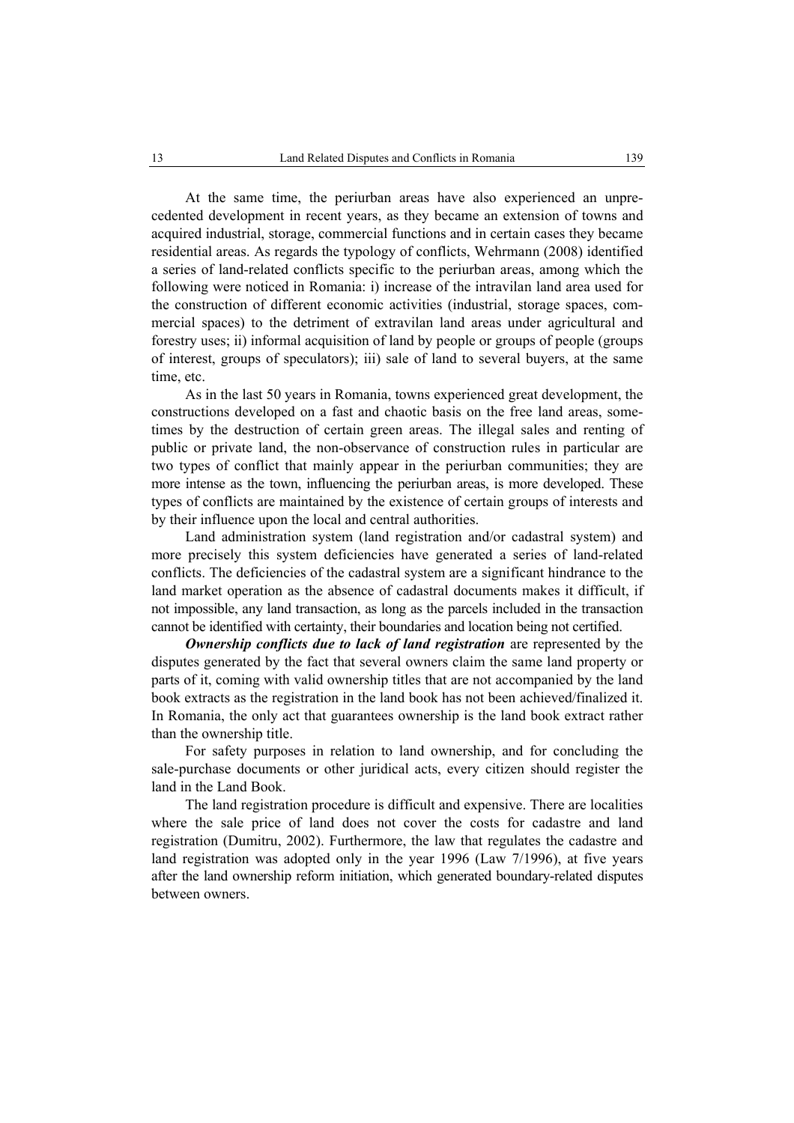At the same time, the periurban areas have also experienced an unprecedented development in recent years, as they became an extension of towns and acquired industrial, storage, commercial functions and in certain cases they became residential areas. As regards the typology of conflicts, Wehrmann (2008) identified a series of land-related conflicts specific to the periurban areas, among which the following were noticed in Romania: i) increase of the intravilan land area used for the construction of different economic activities (industrial, storage spaces, commercial spaces) to the detriment of extravilan land areas under agricultural and forestry uses; ii) informal acquisition of land by people or groups of people (groups of interest, groups of speculators); iii) sale of land to several buyers, at the same time, etc.

As in the last 50 years in Romania, towns experienced great development, the constructions developed on a fast and chaotic basis on the free land areas, sometimes by the destruction of certain green areas. The illegal sales and renting of public or private land, the non-observance of construction rules in particular are two types of conflict that mainly appear in the periurban communities; they are more intense as the town, influencing the periurban areas, is more developed. These types of conflicts are maintained by the existence of certain groups of interests and by their influence upon the local and central authorities.

Land administration system (land registration and/or cadastral system) and more precisely this system deficiencies have generated a series of land-related conflicts. The deficiencies of the cadastral system are a significant hindrance to the land market operation as the absence of cadastral documents makes it difficult, if not impossible, any land transaction, as long as the parcels included in the transaction cannot be identified with certainty, their boundaries and location being not certified.

*Ownership conflicts due to lack of land registration* are represented by the disputes generated by the fact that several owners claim the same land property or parts of it, coming with valid ownership titles that are not accompanied by the land book extracts as the registration in the land book has not been achieved/finalized it. In Romania, the only act that guarantees ownership is the land book extract rather than the ownership title.

For safety purposes in relation to land ownership, and for concluding the sale-purchase documents or other juridical acts, every citizen should register the land in the Land Book.

The land registration procedure is difficult and expensive. There are localities where the sale price of land does not cover the costs for cadastre and land registration (Dumitru, 2002). Furthermore, the law that regulates the cadastre and land registration was adopted only in the year 1996 (Law 7/1996), at five years after the land ownership reform initiation, which generated boundary-related disputes between owners.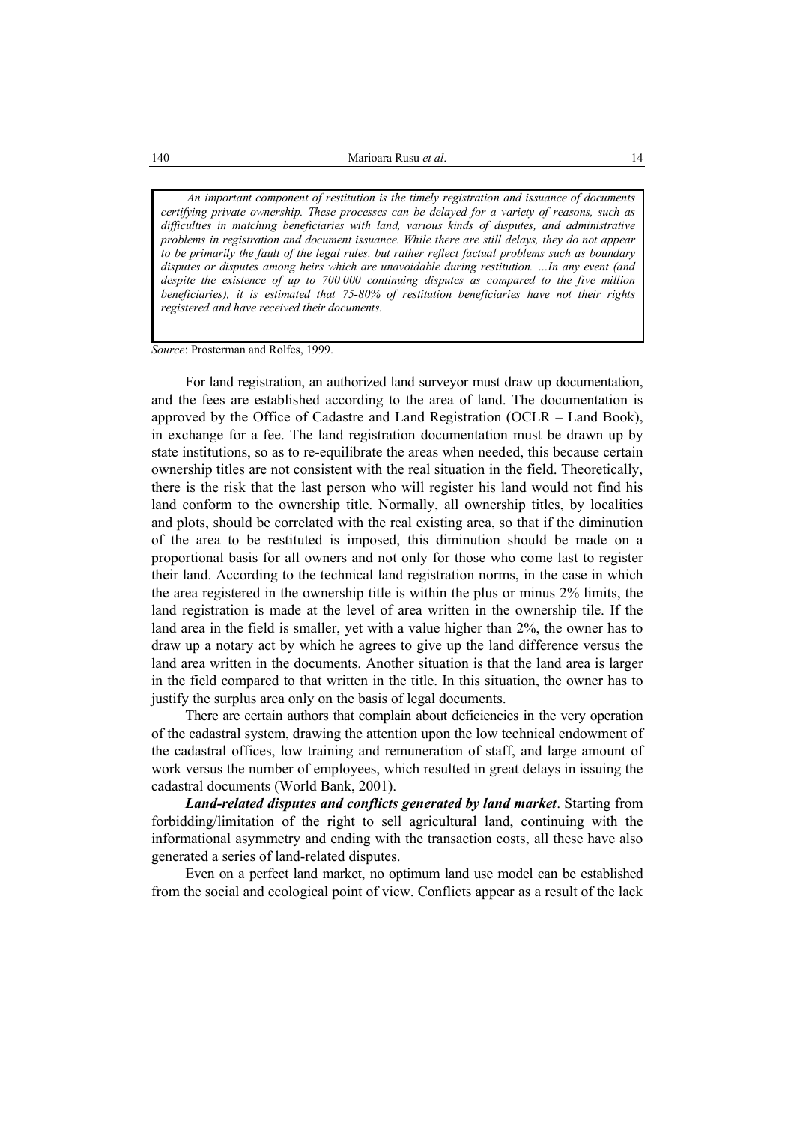*An important component of restitution is the timely registration and issuance of documents certifying private ownership. These processes can be delayed for a variety of reasons, such as difficulties in matching beneficiaries with land, various kinds of disputes, and administrative problems in registration and document issuance. While there are still delays, they do not appear to be primarily the fault of the legal rules, but rather reflect factual problems such as boundary disputes or disputes among heirs which are unavoidable during restitution. …In any event (and despite the existence of up to 700 000 continuing disputes as compared to the five million beneficiaries), it is estimated that 75-80% of restitution beneficiaries have not their rights registered and have received their documents.* 

*Source*: Prosterman and Rolfes, 1999.

For land registration, an authorized land surveyor must draw up documentation, and the fees are established according to the area of land. The documentation is approved by the Office of Cadastre and Land Registration (OCLR – Land Book), in exchange for a fee. The land registration documentation must be drawn up by state institutions, so as to re-equilibrate the areas when needed, this because certain ownership titles are not consistent with the real situation in the field. Theoretically, there is the risk that the last person who will register his land would not find his land conform to the ownership title. Normally, all ownership titles, by localities and plots, should be correlated with the real existing area, so that if the diminution of the area to be restituted is imposed, this diminution should be made on a proportional basis for all owners and not only for those who come last to register their land. According to the technical land registration norms, in the case in which the area registered in the ownership title is within the plus or minus 2% limits, the land registration is made at the level of area written in the ownership tile. If the land area in the field is smaller, yet with a value higher than 2%, the owner has to draw up a notary act by which he agrees to give up the land difference versus the land area written in the documents. Another situation is that the land area is larger in the field compared to that written in the title. In this situation, the owner has to justify the surplus area only on the basis of legal documents.

There are certain authors that complain about deficiencies in the very operation of the cadastral system, drawing the attention upon the low technical endowment of the cadastral offices, low training and remuneration of staff, and large amount of work versus the number of employees, which resulted in great delays in issuing the cadastral documents (World Bank, 2001).

*Land-related disputes and conflicts generated by land market*. Starting from forbidding/limitation of the right to sell agricultural land, continuing with the informational asymmetry and ending with the transaction costs, all these have also generated a series of land-related disputes.

Even on a perfect land market, no optimum land use model can be established from the social and ecological point of view. Conflicts appear as a result of the lack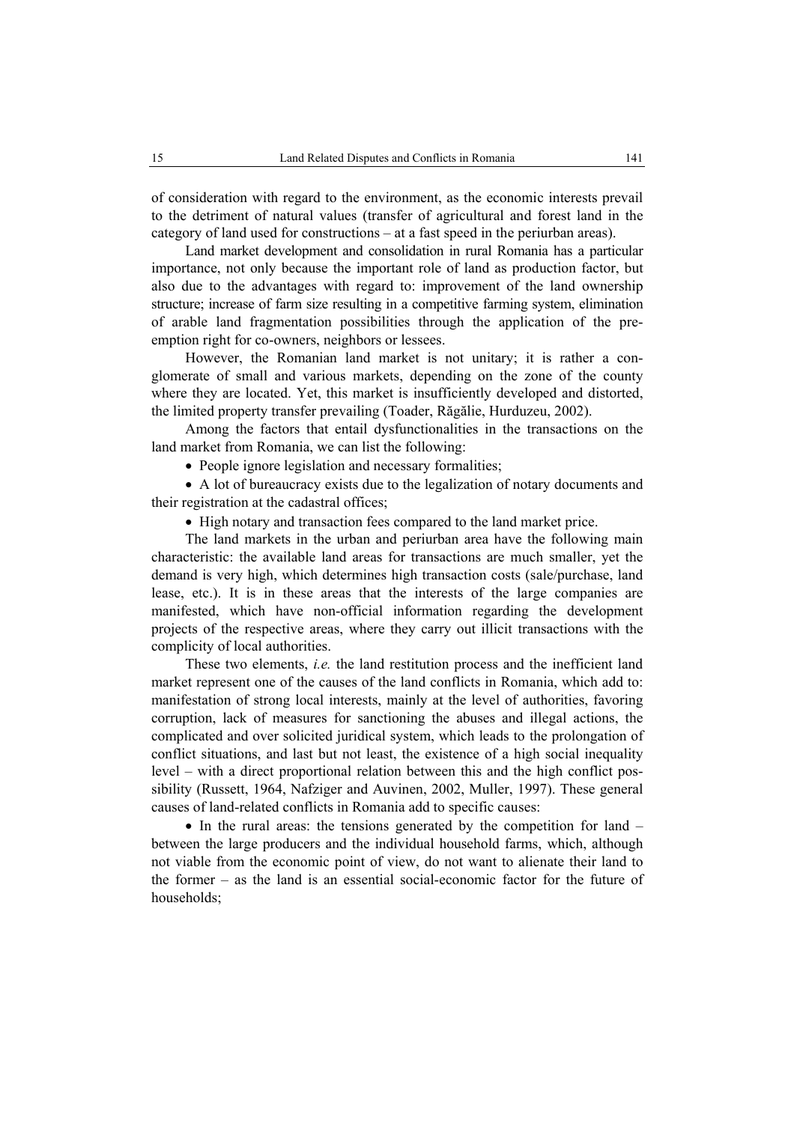of consideration with regard to the environment, as the economic interests prevail to the detriment of natural values (transfer of agricultural and forest land in the category of land used for constructions – at a fast speed in the periurban areas).

Land market development and consolidation in rural Romania has a particular importance, not only because the important role of land as production factor, but also due to the advantages with regard to: improvement of the land ownership structure; increase of farm size resulting in a competitive farming system, elimination of arable land fragmentation possibilities through the application of the preemption right for co-owners, neighbors or lessees.

However, the Romanian land market is not unitary; it is rather a conglomerate of small and various markets, depending on the zone of the county where they are located. Yet, this market is insufficiently developed and distorted, the limited property transfer prevailing (Toader, Răgălie, Hurduzeu, 2002).

Among the factors that entail dysfunctionalities in the transactions on the land market from Romania, we can list the following:

• People ignore legislation and necessary formalities;

• A lot of bureaucracy exists due to the legalization of notary documents and their registration at the cadastral offices;

• High notary and transaction fees compared to the land market price.

The land markets in the urban and periurban area have the following main characteristic: the available land areas for transactions are much smaller, yet the demand is very high, which determines high transaction costs (sale/purchase, land lease, etc.). It is in these areas that the interests of the large companies are manifested, which have non-official information regarding the development projects of the respective areas, where they carry out illicit transactions with the complicity of local authorities.

These two elements, *i.e.* the land restitution process and the inefficient land market represent one of the causes of the land conflicts in Romania, which add to: manifestation of strong local interests, mainly at the level of authorities, favoring corruption, lack of measures for sanctioning the abuses and illegal actions, the complicated and over solicited juridical system, which leads to the prolongation of conflict situations, and last but not least, the existence of a high social inequality level – with a direct proportional relation between this and the high conflict possibility (Russett, 1964, Nafziger and Auvinen, 2002, Muller, 1997). These general causes of land-related conflicts in Romania add to specific causes:

• In the rural areas: the tensions generated by the competition for land – between the large producers and the individual household farms, which, although not viable from the economic point of view, do not want to alienate their land to the former – as the land is an essential social-economic factor for the future of households;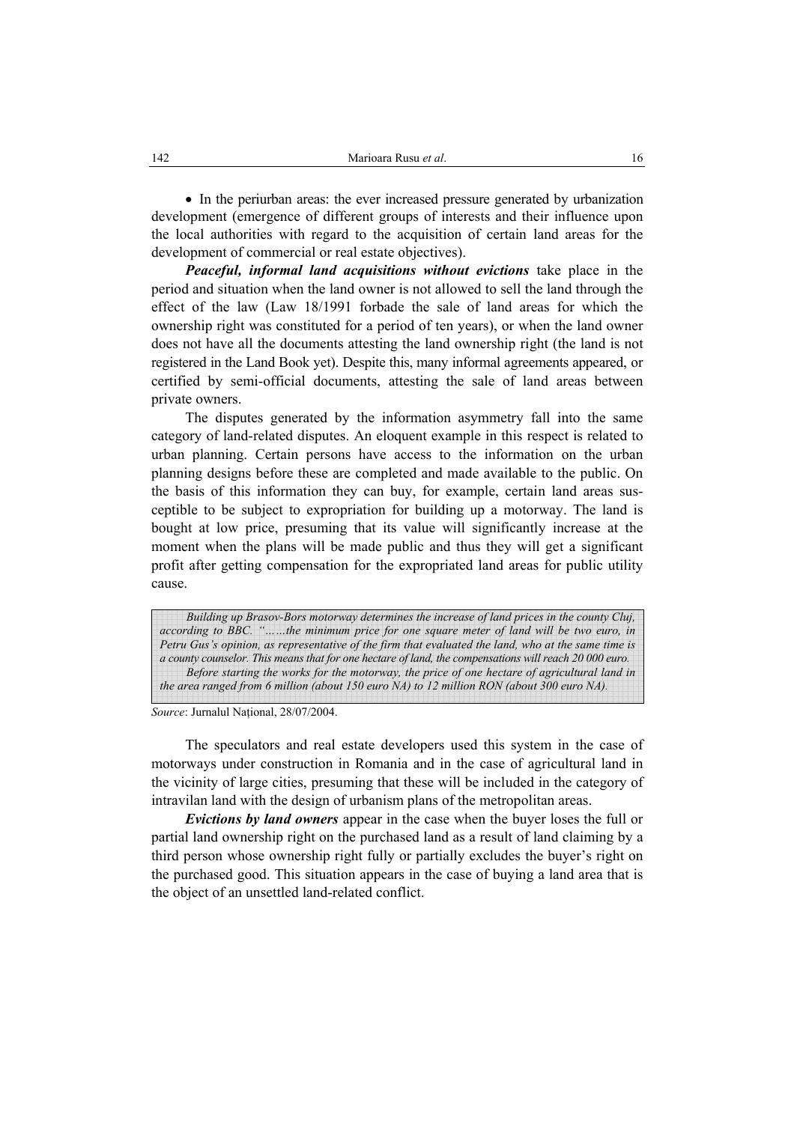• In the periurban areas: the ever increased pressure generated by urbanization development (emergence of different groups of interests and their influence upon the local authorities with regard to the acquisition of certain land areas for the development of commercial or real estate objectives).

*Peaceful, informal land acquisitions without evictions* take place in the period and situation when the land owner is not allowed to sell the land through the effect of the law (Law 18/1991 forbade the sale of land areas for which the ownership right was constituted for a period of ten years), or when the land owner does not have all the documents attesting the land ownership right (the land is not registered in the Land Book yet). Despite this, many informal agreements appeared, or certified by semi-official documents, attesting the sale of land areas between private owners.

The disputes generated by the information asymmetry fall into the same category of land-related disputes. An eloquent example in this respect is related to urban planning. Certain persons have access to the information on the urban planning designs before these are completed and made available to the public. On the basis of this information they can buy, for example, certain land areas susceptible to be subject to expropriation for building up a motorway. The land is bought at low price, presuming that its value will significantly increase at the moment when the plans will be made public and thus they will get a significant profit after getting compensation for the expropriated land areas for public utility cause.

*Building up Brasov-Bors motorway determines the increase of land prices in the county Cluj, according to BBC. "……the minimum price for one square meter of land will be two euro, in Petru Gus's opinion, as representative of the firm that evaluated the land, who at the same time is a county counselor. This means that for one hectare of land, the compensations will reach 20 000 euro. Before starting the works for the motorway, the price of one hectare of agricultural land in the area ranged from 6 million (about 150 euro NA) to 12 million RON (about 300 euro NA).* 

*Source*: Jurnalul National, 28/07/2004.

The speculators and real estate developers used this system in the case of motorways under construction in Romania and in the case of agricultural land in the vicinity of large cities, presuming that these will be included in the category of intravilan land with the design of urbanism plans of the metropolitan areas.

*Evictions by land owners* appear in the case when the buyer loses the full or partial land ownership right on the purchased land as a result of land claiming by a third person whose ownership right fully or partially excludes the buyer's right on the purchased good. This situation appears in the case of buying a land area that is the object of an unsettled land-related conflict.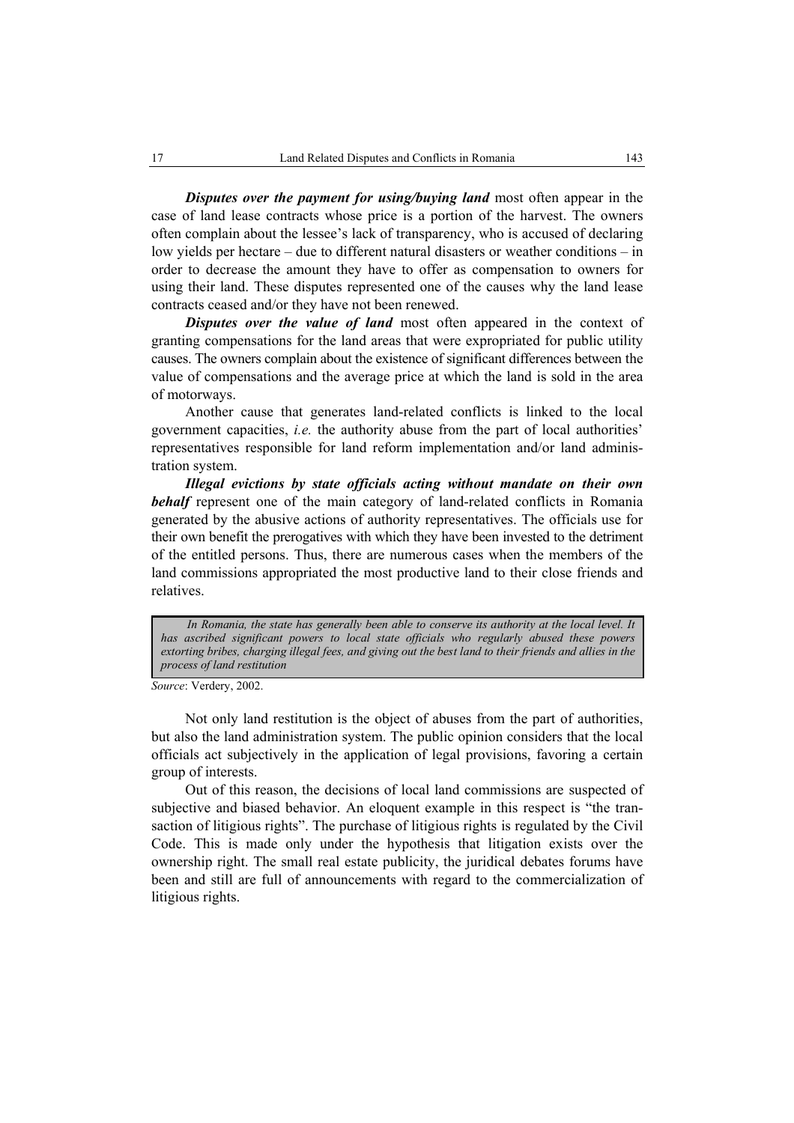*Disputes over the payment for using/buying land most often appear in the* case of land lease contracts whose price is a portion of the harvest. The owners often complain about the lessee's lack of transparency, who is accused of declaring low yields per hectare – due to different natural disasters or weather conditions – in order to decrease the amount they have to offer as compensation to owners for using their land. These disputes represented one of the causes why the land lease contracts ceased and/or they have not been renewed.

*Disputes over the value of land* most often appeared in the context of granting compensations for the land areas that were expropriated for public utility causes. The owners complain about the existence of significant differences between the value of compensations and the average price at which the land is sold in the area of motorways.

Another cause that generates land-related conflicts is linked to the local government capacities, *i.e.* the authority abuse from the part of local authorities' representatives responsible for land reform implementation and/or land administration system.

*Illegal evictions by state officials acting without mandate on their own*  **behalf** represent one of the main category of land-related conflicts in Romania generated by the abusive actions of authority representatives. The officials use for their own benefit the prerogatives with which they have been invested to the detriment of the entitled persons. Thus, there are numerous cases when the members of the land commissions appropriated the most productive land to their close friends and relatives.

In Romania, the state has generally been able to conserve its authority at the local level. It *has ascribed significant powers to local state officials who regularly abused these powers extorting bribes, charging illegal fees, and giving out the best land to their friends and allies in the process of land restitution* 

*Source*: Verdery, 2002.

Not only land restitution is the object of abuses from the part of authorities, but also the land administration system. The public opinion considers that the local officials act subjectively in the application of legal provisions, favoring a certain group of interests.

Out of this reason, the decisions of local land commissions are suspected of subjective and biased behavior. An eloquent example in this respect is "the transaction of litigious rights". The purchase of litigious rights is regulated by the Civil Code. This is made only under the hypothesis that litigation exists over the ownership right. The small real estate publicity, the juridical debates forums have been and still are full of announcements with regard to the commercialization of litigious rights.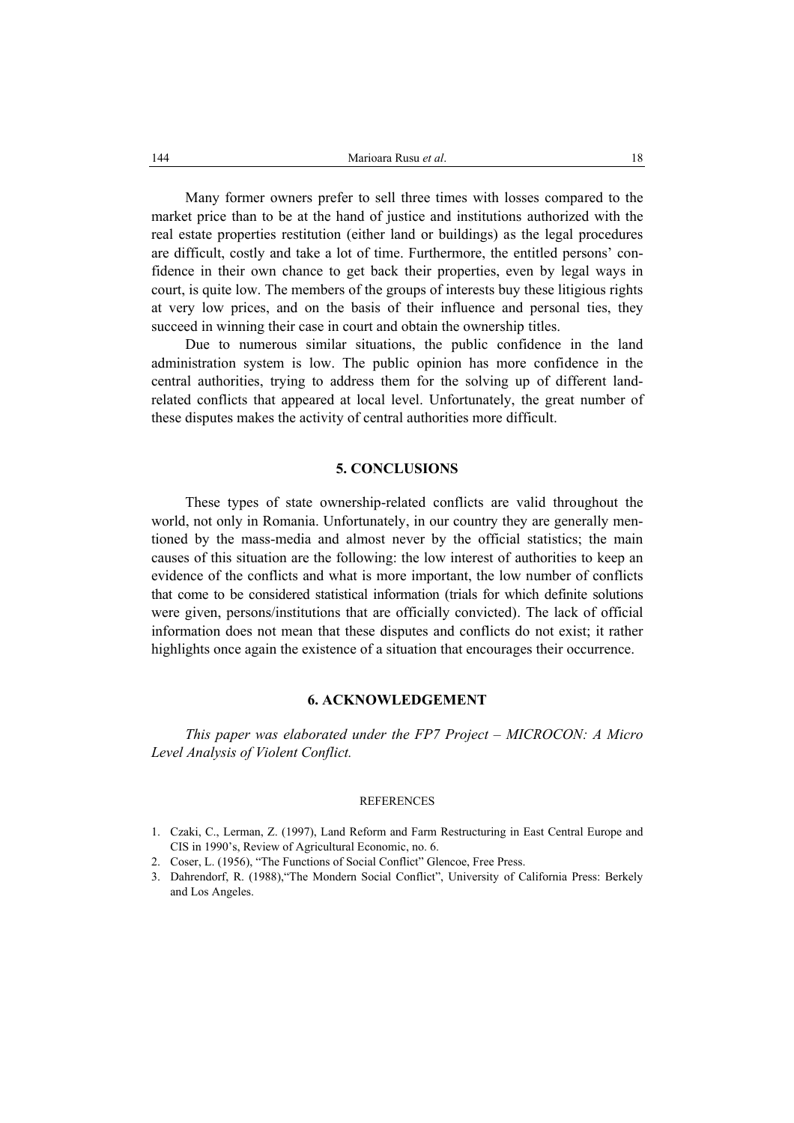Many former owners prefer to sell three times with losses compared to the market price than to be at the hand of justice and institutions authorized with the real estate properties restitution (either land or buildings) as the legal procedures are difficult, costly and take a lot of time. Furthermore, the entitled persons' confidence in their own chance to get back their properties, even by legal ways in court, is quite low. The members of the groups of interests buy these litigious rights at very low prices, and on the basis of their influence and personal ties, they succeed in winning their case in court and obtain the ownership titles.

Due to numerous similar situations, the public confidence in the land administration system is low. The public opinion has more confidence in the central authorities, trying to address them for the solving up of different landrelated conflicts that appeared at local level. Unfortunately, the great number of these disputes makes the activity of central authorities more difficult.

## **5. CONCLUSIONS**

These types of state ownership-related conflicts are valid throughout the world, not only in Romania. Unfortunately, in our country they are generally mentioned by the mass-media and almost never by the official statistics; the main causes of this situation are the following: the low interest of authorities to keep an evidence of the conflicts and what is more important, the low number of conflicts that come to be considered statistical information (trials for which definite solutions were given, persons/institutions that are officially convicted). The lack of official information does not mean that these disputes and conflicts do not exist; it rather highlights once again the existence of a situation that encourages their occurrence.

### **6. ACKNOWLEDGEMENT**

*This paper was elaborated under the FP7 Project – MICROCON: A Micro Level Analysis of Violent Conflict.* 

### **REFERENCES**

- 1. Czaki, C., Lerman, Z. (1997), Land Reform and Farm Restructuring in East Central Europe and CIS in 1990's, Review of Agricultural Economic, no. 6.
- 2. Coser, L. (1956), "The Functions of Social Conflict" Glencoe, Free Press.
- 3. Dahrendorf, R. (1988),"The Mondern Social Conflict", University of California Press: Berkely and Los Angeles.